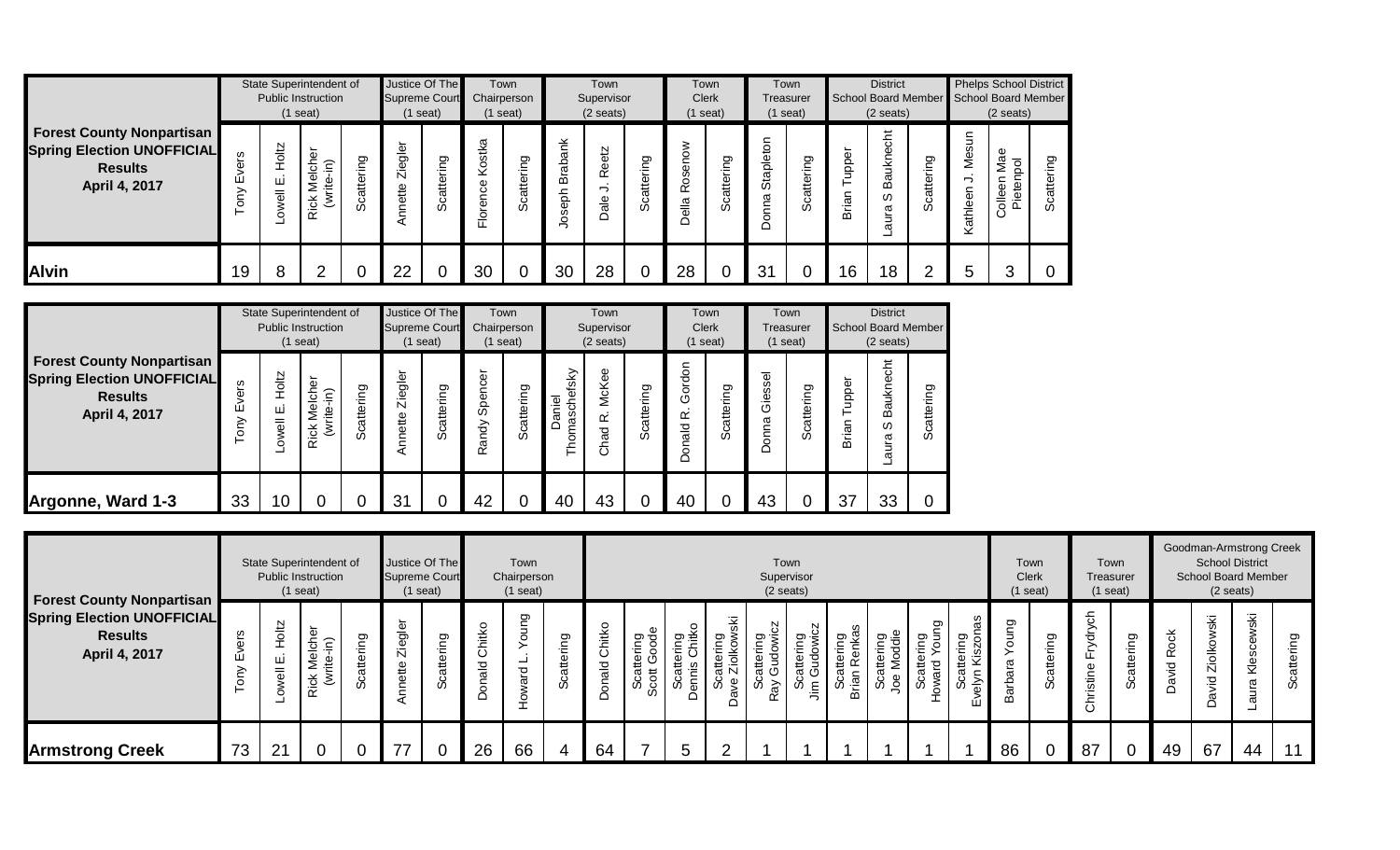|                                                                                                          |                     |                               | State Superintendent of<br><b>Public Instruction</b><br>$(1$ seat)    |                    | Justice Of The<br><b>Supreme Court</b> | (1 seat)               | Chairperson        | Town<br>$(1$ seat)    |                               | Town<br>Supervisor<br>$(2 \text{ seats})$ |            | <b>Clerk</b>                          | Town<br>$(1$ seat) | <b>Treasurer</b>     | Town<br>$(1$ seat)             |                       | <b>District</b><br>School Board Member<br>$(2 \text{ seats})$ |                       |                              | <b>Phelps School District</b><br>School Board Member<br>$(2 \text{ seats})$ |         |
|----------------------------------------------------------------------------------------------------------|---------------------|-------------------------------|-----------------------------------------------------------------------|--------------------|----------------------------------------|------------------------|--------------------|-----------------------|-------------------------------|-------------------------------------------|------------|---------------------------------------|--------------------|----------------------|--------------------------------|-----------------------|---------------------------------------------------------------|-----------------------|------------------------------|-----------------------------------------------------------------------------|---------|
| <b>Forest County Nonpartisan</b><br><b>Spring Election UNOFFICIAL</b><br><b>Results</b><br>April 4, 2017 | ဖ္ပ<br>Φ<br>ய்<br>ξ | Holtz<br>$\sim$<br>ш<br>owell | cher<br>$\widehat{\epsilon}$<br>$\overline{\Phi}$<br><b>Rick</b><br>3 | attering<br>ت<br>ഗ | gler<br>Φ<br>Ñ<br>ette                 | ring<br>atte<br>ပ<br>ഗ | t∕a<br>8<br>⊻<br>운 | ing<br>atte<br>ت<br>% | ank<br>Brabi<br>aph<br>Ø<br>ق | <b>Reetz</b><br>⊃<br>$\frac{e}{a}$        | Scattering | ose<br>$\alpha$<br>$\frac{a}{b}$<br>≏ | Scattering         | nop<br>Staplet<br>ma | ring<br>attei<br>ပ<br>$\omega$ | ৯<br>ddn<br>nian<br>മ | 흉<br>aukne<br>m<br>w<br>ura<br>$\sigma$                       | ing<br>atte<br>ت<br>‰ | m<br>ဖ<br>Š<br>⇁<br>Kathleen | Mae<br>$\overline{Q}$<br>Pieten<br>Φ<br>$rac{1}{\sqrt{2}}$                  | ත<br>တိ |
| <b>Alvin</b>                                                                                             | 19                  | 8                             |                                                                       |                    | 22                                     |                        | 30                 |                       | 30                            | 28                                        |            | 28                                    | 0                  | 31                   |                                | 16                    | 18                                                            | ◠                     | 5                            |                                                                             |         |

|                                                                                                          |                |                      | State Superintendent of<br><b>Public Instruction</b><br>$(1$ seat)               |                | <b>Supreme Court</b> | Justice Of The<br>$(1$ seat) |                  | Town<br>Chairperson<br>$(1$ seat) |                            | Town<br>Supervisor<br>$(2 \text{ seats})$ |            | $(1$ seat)                          | Town<br><b>Clerk</b> | <b>Treasurer</b>              | Town<br>$(1$ seat) |                         | <b>District</b><br><b>School Board Member</b><br>$(2 \text{ seats})$ |                |
|----------------------------------------------------------------------------------------------------------|----------------|----------------------|----------------------------------------------------------------------------------|----------------|----------------------|------------------------------|------------------|-----------------------------------|----------------------------|-------------------------------------------|------------|-------------------------------------|----------------------|-------------------------------|--------------------|-------------------------|----------------------------------------------------------------------|----------------|
| <b>Forest County Nonpartisan</b><br><b>Spring Election UNOFFICIAL</b><br><b>Results</b><br>April 4, 2017 | ers<br>Ш<br>δW | Holtz<br>ш<br>Lowell | ৯<br>ㅎ<br>$\widehat{\epsilon}$<br>ڡ<br>₽<br><b>Rick</b><br>$\tilde{\mathcal{E}}$ | cattering<br>ഗ | Ziegler<br>Annette   | Scattering                   | Spencer<br>Randy | Scattering                        | tsky<br>Daniel<br>oma<br>Ě | McKee<br>$\propto$<br>Chad                | Scattering | Foon<br>යි<br>$\alpha$<br>pler<br>å | cattering<br>ഗ       | ssel<br>≅<br>৩<br>m<br>ā<br>≏ | Scattering         | upper<br>⊢<br>rian<br>മ | auknecht<br>⋒<br>ω<br>aura                                           | cattering<br>Ō |
| Argonne, Ward 1-3                                                                                        | 33             | 10 <sup>°</sup>      |                                                                                  |                | 31                   |                              | 42               |                                   | 40                         | 43                                        | 0          | 40                                  |                      | 43                            |                    | 37                      | 33                                                                   | 0              |

|                                                                                                          |                    |                                               | State Superintendent of<br><b>Public Instruction</b><br>$(1$ seat)                                 |                | <b>Supreme Court</b> | Justice Of The<br>$(1$ seat) |             | Town<br>Chairperson<br>$(1$ seat) | Town<br>Supervisor<br>$(2 \text{ seats})$<br>Ψŝ<br>S2<br>Chitko<br>ଦ୍ଧ ¥ି<br>Ō<br>פַ<br>ing<br>cattering<br>Gudowic<br>≷ יִם<br>ਕ ਕ<br>δ<br>义<br>tterin<br>∴=<br>듷<br>._<br>$\cdot$ $=$<br>₹<br>ter<br>て<br>te<br>#<br>atte<br>₽<br>Scatte<br>im Gud<br>≃<br>onald<br>₹ã<br>Ñ<br>$\overline{5}$<br>rian<br>≍<br>ပ္ပိ<br>တိ<br>ပိ<br>്റ്<br>ave<br>$\widetilde{\varepsilon}$<br>ত্ৰ<br>w<br>w<br>ပ္တ |  |                |   |          |  |  |                     |                                    |                                     | Town<br><b>Clerk</b>        | (1 seat)            | Town<br>$(1$ seat)                 | Treasurer          |                                | <b>School District</b><br>$(2 \text{ seats})$ | Goodman-Armstrong Creek<br><b>School Board Member</b> |                  |
|----------------------------------------------------------------------------------------------------------|--------------------|-----------------------------------------------|----------------------------------------------------------------------------------------------------|----------------|----------------------|------------------------------|-------------|-----------------------------------|-----------------------------------------------------------------------------------------------------------------------------------------------------------------------------------------------------------------------------------------------------------------------------------------------------------------------------------------------------------------------------------------------------|--|----------------|---|----------|--|--|---------------------|------------------------------------|-------------------------------------|-----------------------------|---------------------|------------------------------------|--------------------|--------------------------------|-----------------------------------------------|-------------------------------------------------------|------------------|
| <b>Forest County Nonpartisan</b><br><b>Spring Election UNOFFICIAL</b><br><b>Results</b><br>April 4, 2017 | Φ<br>⊬⊡<br>$\circ$ | <b>FOIL</b><br>ш<br>$\overline{\overline{6}}$ | ত<br><i><b>Aelch</b></i><br>$\widehat{\epsilon}$<br>ீ<br>⋍<br><b>Rick</b><br>$\tilde{\mathcal{E}}$ | פַ<br>.≒<br>တိ | gler<br>Zie<br>ette  | ering<br>高<br>w              | Chitko<br>응 | ֵפ<br>0<br>우                      |                                                                                                                                                                                                                                                                                                                                                                                                     |  | $\Omega$       |   | $\alpha$ |  |  | eipp.<br>Trig<br>go | ō<br>은 콩<br>≔.<br>σ<br>ँ<br>ഗ<br>- | æ<br>ਠ<br>ttering<br>⇨<br>elyn<br>ш | gun<br>ō<br>ara<br>arb<br>≃ | ၯၟ<br>tterir<br>Sca | 둥<br>ರ<br>₫<br>$\frac{1}{3}$<br>රි | פַ<br>.≒<br>₽<br>ഗ | 꽁<br>Ro<br>$\overline{Q}$<br>ಸ | ŠΚ<br>c<br>Ziol<br>ਠ<br>ā                     | ΚÄ<br>€<br>᠊ᢐ                                         | attering<br>ပ္ကိ |
| <b>Armstrong Creek</b>                                                                                   | 73                 | 21                                            | 0                                                                                                  | $\overline{0}$ | ラフ                   |                              | 26          | 66                                | 64                                                                                                                                                                                                                                                                                                                                                                                                  |  | $5\phantom{1}$ | ົ |          |  |  |                     |                                    |                                     | 86                          | $\mathbf 0$         | 87                                 |                    | 49                             | 67                                            | 44                                                    | $-11$            |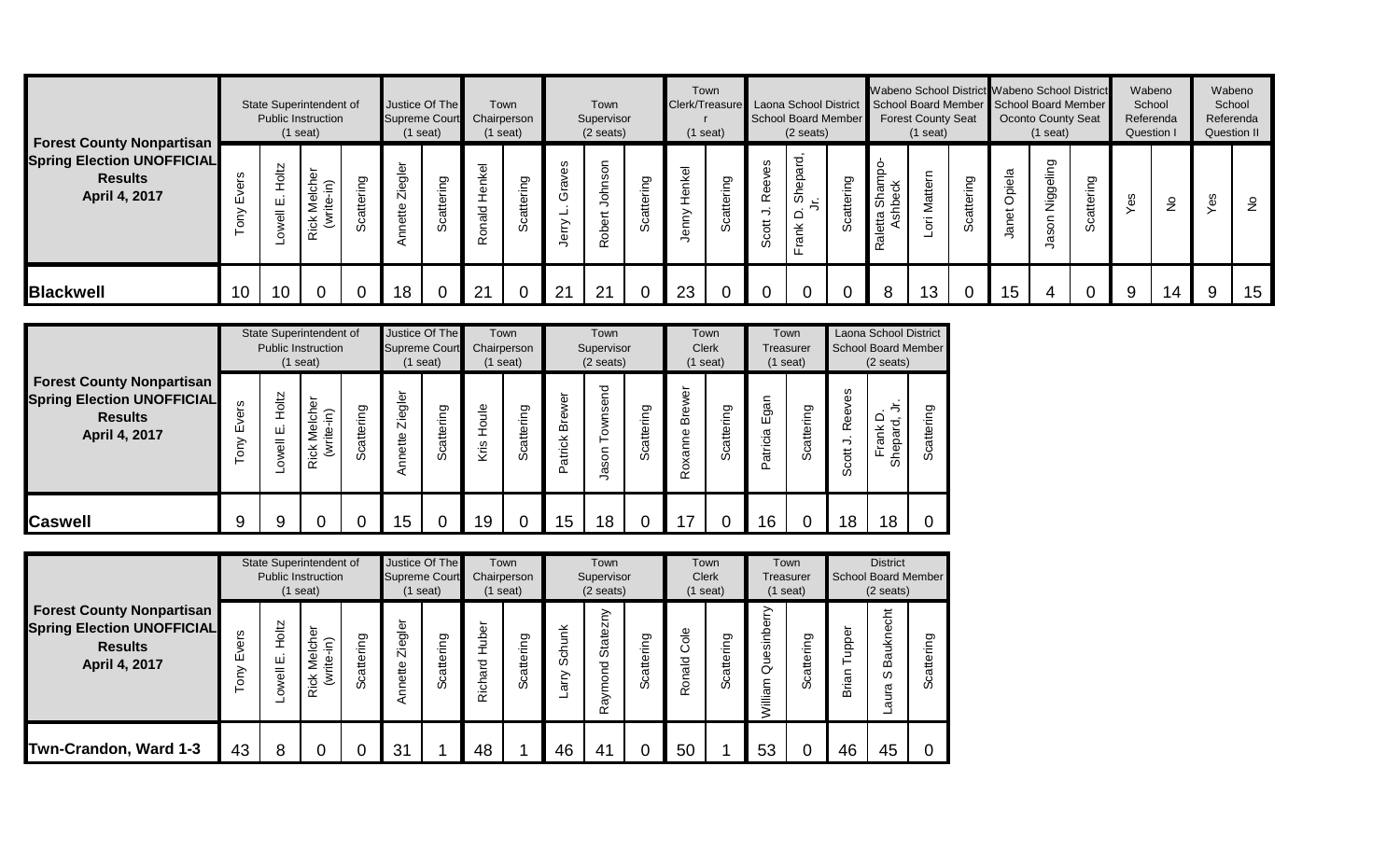|                                                                                                          |                 |                                         | State Superintendent of<br><b>Public Instruction</b><br>$(1$ seat)                    |                 | <b>Supreme Court</b> | Justice Of The<br>(1 seat)             | Chairperson            | Town<br>$(1$ seat) |             | Town<br>Supervisor<br>$(2 \text{ seats})$ |                           | Town<br>Clerk/Treasure Laona School District<br>$(1$ seat) |               |              | <b>School Board Member</b><br>$(2 \text{ seats})$ |                     | Wabeno School District Wabeno School District<br>School Board Member School Board Member | <b>Forest County Seat</b><br>$(1$ seat) |                  |                 | <b>Oconto County Seat</b><br>$(1$ seat) |                  | Wabeno<br>School<br>Referenda<br><b>Question I</b> |               | Wabeno<br>Referenda<br>Question II | School     |
|----------------------------------------------------------------------------------------------------------|-----------------|-----------------------------------------|---------------------------------------------------------------------------------------|-----------------|----------------------|----------------------------------------|------------------------|--------------------|-------------|-------------------------------------------|---------------------------|------------------------------------------------------------|---------------|--------------|---------------------------------------------------|---------------------|------------------------------------------------------------------------------------------|-----------------------------------------|------------------|-----------------|-----------------------------------------|------------------|----------------------------------------------------|---------------|------------------------------------|------------|
| <b>Forest County Nonpartisan</b><br><b>Spring Election UNOFFICIAL</b><br><b>Results</b><br>April 4, 2017 |                 | 2101<br>щі<br>$\overline{\overline{6}}$ | ৯<br>$\widehat{c}$<br>৳<br>-<br>₹<br>e.<br>Ti<br><b>Rick</b><br>$\tilde{\mathcal{E}}$ | ring<br>Scatter | gler<br>Zie<br>ette  | guin<br>$\overline{a}$<br>₹<br>$\circ$ | <b>Jenkel</b><br>onald | ring               | w<br>$\sim$ | Sō<br>ᄒ<br>문<br>Rob                       | פַ<br>€<br>e#<br>$\omega$ | $\overline{\Phi}$<br>≚<br>Φ<br>ξm<br>$\omega$              | attering<br>w | S<br>œ<br>တိ | ਦੁ<br>Shepai<br>$\Omega$<br>Ě<br>ω                | Ō<br>tterin<br>ပ္တိ | Shampo<br>송<br>۽<br>あ<br>Raletta                                                         | ern<br>Matt<br><br>Έ                    | attering<br>ပ္တိ | piela<br>ъ<br>ā | ත<br>Niggelin<br>ន្ល                    | iring<br>Scatter | es                                                 | $\frac{9}{2}$ | ဖ<br>Φ                             | $\epsilon$ |
| <b>Blackwell</b>                                                                                         | 10 <sup>°</sup> | 10                                      | $\mathbf 0$                                                                           | $\mathbf 0$     | 18                   |                                        | 21                     |                    | 21          | 21                                        |                           | 23                                                         |               |              |                                                   | $\Omega$            | 8                                                                                        | 13                                      |                  | 15              |                                         |                  | 9                                                  | 14            | 9                                  | 15         |

|                                                                                                          |                     |                          | State Superintendent of<br><b>Public Instruction</b><br>$(1$ seat)                               |                          |                           | Justice Of The<br><b>Supreme Court</b><br>$(1$ seat) |           | Town<br>Chairperson<br>$(1$ seat) |                             | Town<br>Supervisor<br>$(2 \text{ seats})$ |                   |                               | Town<br><b>Clerk</b><br>(1 seat) | Treasurer                     | Town<br>$(1$ seat)     |                          | Laona School District<br>School Board Member<br>$(2 \text{ seats})$ |            |
|----------------------------------------------------------------------------------------------------------|---------------------|--------------------------|--------------------------------------------------------------------------------------------------|--------------------------|---------------------------|------------------------------------------------------|-----------|-----------------------------------|-----------------------------|-------------------------------------------|-------------------|-------------------------------|----------------------------------|-------------------------------|------------------------|--------------------------|---------------------------------------------------------------------|------------|
| <b>Forest County Nonpartisan</b><br><b>Spring Election UNOFFICIAL</b><br><b>Results</b><br>April 4, 2017 | ers<br>ے<br>سا<br>δ | Holtz<br>ш<br>owell<br>ᆜ | che<br>$\widehat{\epsilon}$<br>$\overline{\Phi}$<br>rite<br>Σ<br><b>Rick</b><br>$\bar{\epsilon}$ | ත<br>έ<br>atte<br>ပ<br>ഗ | gler<br>Ō<br>Ŋ<br>Annette | ring<br>Scatter                                      | ₾<br>Kris | Scattering                        | έō<br>⋧<br>മ<br>atrick<br>≏ | send<br>Town:<br>Jason                    | ring<br>atte<br>ق | ٥<br>₹<br>മ<br>Ф<br>xann<br>è | ring<br>Scatter                  | ត្ត<br>ច<br>ш<br>atricia<br>≏ | ring<br>atte<br>ق<br>ھ | ves<br>Ree<br>っ<br>Scott | ≏<br>⊻<br>Ξ<br>$\omega$<br>မို<br>ے<br>ட<br>င်္တ                    | Scattering |
| <b>ICaswell</b>                                                                                          | 9                   | 9                        |                                                                                                  |                          | 15                        |                                                      | 19        | 0                                 | 15                          | 18                                        |                   |                               |                                  | 16                            |                        | 18                       | 18                                                                  | 0          |

|                                                                                                          |                                        |                    | State Superintendent of<br><b>Public Instruction</b><br>$(1$ seat) |                                       | <b>Supreme Court</b>   | Justice Of The<br>$(1$ seat) |                   | Town<br>Chairperson<br>$(1$ seat) |                | Town<br>Supervisor<br>$(2 \text{ seats})$           |                    | <b>Clerk</b>          | Town<br>$(1$ seat) |                                | Town<br>Treasurer<br>$(1$ seat) |               | <b>District</b><br><b>School Board Member</b><br>$(2 \text{ seats})$ |                                                         |
|----------------------------------------------------------------------------------------------------------|----------------------------------------|--------------------|--------------------------------------------------------------------|---------------------------------------|------------------------|------------------------------|-------------------|-----------------------------------|----------------|-----------------------------------------------------|--------------------|-----------------------|--------------------|--------------------------------|---------------------------------|---------------|----------------------------------------------------------------------|---------------------------------------------------------|
| <b>Forest County Nonpartisan</b><br><b>Spring Election UNOFFICIAL</b><br><b>Results</b><br>April 4, 2017 | vers<br>ш<br>$\widetilde{\varepsilon}$ | Hotz<br>ш<br>owell | Melcher<br>$\widehat{m}$<br>(write-<br><b>Rick</b>                 | Ō<br>Ē<br>≔<br>atter<br>ပ<br>$\omega$ | gler<br>Zie<br>Annette | Scattering                   | ৳<br>Š<br>Richard | Scattering                        | Schunk<br>arry | ≧<br>$\mathbf N$<br>State:<br>pa<br>oro<br>ε<br>Ray | attering<br>ٽ<br>ഗ | 응<br>ပ<br>bleno:<br>≃ | Scattering         | sinberry<br>Ë<br>♂<br>ξ<br>iii | attering<br>ပ<br>ഗ              | pper<br>Brian | ξ<br>Baukne<br>ഗ<br>aura                                             | တ<br>≔<br>$\frac{\omega}{\Box}$<br>$\sigma$<br>$\omega$ |
| Twn-Crandon, Ward 1-3                                                                                    | 43                                     | 8                  |                                                                    |                                       | 31                     |                              | 48                |                                   | 46             | 4 <sup>1</sup>                                      |                    | 50                    |                    | 53                             |                                 | 46            | 45                                                                   |                                                         |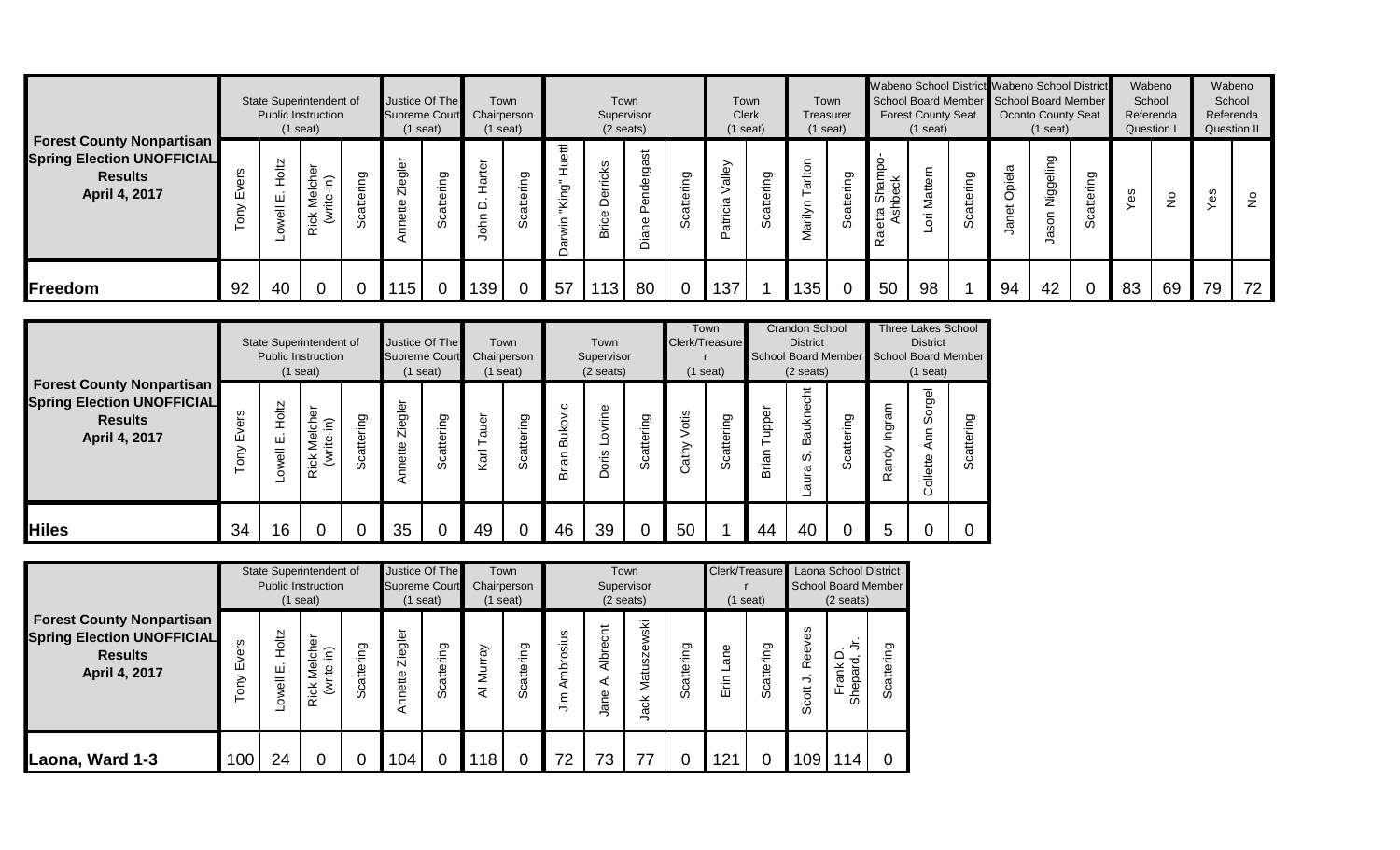|                                                                                                          |    |                                     | State Superintendent of<br><b>Public Instruction</b><br>$(1$ seat) |               | Justice Of The<br><b>Supreme Court</b><br>$(1$ seat) |                          | Town<br>Chairperson<br>$(1$ seat) |                                         |                    | Supervisor<br>$(2 \text{ seats})$ | Town              |                        | Clerk<br>$(1$ seat)   | Town            | Treasurer<br>$(1$ seat) | Town             | Wabeno School District Wabeno School District<br>School Board Member School Board Member | <b>Forest County Seat</b><br>$(1$ seat) |                |                               | Oconto County Seat<br>(1 seat) |                                | Wabeno<br>School<br>Referenda<br><b>Question I</b> |               | School<br>Referenda<br><b>Question II</b> | Wabeno        |
|----------------------------------------------------------------------------------------------------------|----|-------------------------------------|--------------------------------------------------------------------|---------------|------------------------------------------------------|--------------------------|-----------------------------------|-----------------------------------------|--------------------|-----------------------------------|-------------------|------------------------|-----------------------|-----------------|-------------------------|------------------|------------------------------------------------------------------------------------------|-----------------------------------------|----------------|-------------------------------|--------------------------------|--------------------------------|----------------------------------------------------|---------------|-------------------------------------------|---------------|
| <b>Forest County Nonpartisan</b><br><b>Spring Election UNOFFICIAL</b><br><b>Results</b><br>April 4, 2017 | ш  | <b>Poltz</b><br>ш<br>$\overline{a}$ | ত<br>Melche<br>$\widehat{\epsilon}$<br>C.<br><b>Rick</b><br>₹      | ත<br>$\omega$ | ie<br>Ole<br>Zie<br>ette                             | ring<br>atte<br>$\omega$ | $\overline{\omega}$<br>ohn        | g<br>$\overline{\phantom{0}}$<br>Ħ<br>w | ₽<br>ಠಾ<br>š<br>.≒ | cks<br>Φ<br>c                     | あ<br>ğ,<br>᠇<br>ة | ō<br>.≒<br>atter<br>တိ | alley<br>ᡕᢐ<br>atrici | ring<br>Scatter | ≑                       | attering<br>ပ္တိ | Shampo-<br>꽁<br>۾<br>Raletta<br>Ash                                                      | Ē<br>π<br>Σ<br>$\Omega$                 | attering<br>တိ | ᡕᢐ<br>$\overline{\Phi}$<br>ة٬ | Ō<br>Niggelir<br>Son           | Ō<br>$\cdot$ $=$<br>tter<br>တိ | ΘS                                                 | $\frac{1}{2}$ | w<br>Φ                                    | $\frac{9}{2}$ |
| Freedom                                                                                                  | 92 | 40                                  |                                                                    |               | 115                                                  |                          | 139                               |                                         | 57                 | 13 <sub>1</sub>                   | 80                | $\mathbf 0$            | 137                   |                 | 135                     | $\overline{0}$   | 50                                                                                       | 98                                      |                | 94                            | 42                             |                                | 83                                                 | 69            | 79                                        | 72            |

|                                                                                                          |                                                   |                                                | State Superintendent of<br><b>Public Instruction</b><br>$(1$ seat) |                |                     | Justice Of The<br><b>Supreme Court</b><br>(1 seat) |                | Town<br>Chairperson<br>$(1$ seat) |                         | Town<br>Supervisor<br>$(2 \text{ seats})$ |            | Clerk/Treasure     | Town<br>$(1$ seat)          |                | <b>Crandon School</b><br><b>District</b><br><b>School Board Member</b><br>$(2 \text{ seats})$ |                          |                     | <b>Three Lakes School</b><br><b>District</b><br>School Board Member<br>$(1$ seat) |            |
|----------------------------------------------------------------------------------------------------------|---------------------------------------------------|------------------------------------------------|--------------------------------------------------------------------|----------------|---------------------|----------------------------------------------------|----------------|-----------------------------------|-------------------------|-------------------------------------------|------------|--------------------|-----------------------------|----------------|-----------------------------------------------------------------------------------------------|--------------------------|---------------------|-----------------------------------------------------------------------------------|------------|
| <b>Forest County Nonpartisan</b><br><b>Spring Election UNOFFICIAL</b><br><b>Results</b><br>April 4, 2017 | w<br>$\overline{\mathbf{v}}$<br>ш<br>≧<br>$\circ$ | <b>Holtz</b><br>ш<br>$\overline{\overline{6}}$ | Melcher<br>$\widehat{\epsilon}$<br>ف.<br>أ<br>Rick<br>₹            | cattering<br>ഗ | gler<br>Zie<br>ette | Scattering                                         | ৳<br>σ<br>Karl | Scattering                        | <b>Bukovic</b><br>Brian | ovrine<br>ᆜ<br>Doris                      | Scattering | Votis<br>athy<br>Ω | iring<br>catter<br>$\omega$ | uppel<br>Brian | 동<br>Baukneo<br><sub>0</sub><br>gın<br>ᢎ                                                      | ഊ<br>€<br>atte<br>ပ<br>ω | Ingram<br>andy<br>œ | gel<br>느<br>တိ<br>ξ<br>⋖<br>ollette                                               | Scattering |
| <b>Hiles</b>                                                                                             | 34                                                | 16                                             |                                                                    |                | 35                  | 0                                                  | 49             | 0                                 | 46                      | 39                                        |            | 50                 |                             | 44             | 40                                                                                            |                          | 5                   |                                                                                   |            |

|                                                                                                          |                          |                     | State Superintendent of<br><b>Public Instruction</b><br>$(1$ seat) |            | Justice Of The<br><b>Supreme Court</b> | seat)           | Chairperson | Town<br>$(1$ seat) |                     | Supervisor<br>$(2$ seats) | Town                |            | Clerk/Treasure<br>$(1$ seat) |            |                      | Laona School District<br><b>School Board Member</b><br>$(2 \text{ seats})$ |                    |
|----------------------------------------------------------------------------------------------------------|--------------------------|---------------------|--------------------------------------------------------------------|------------|----------------------------------------|-----------------|-------------|--------------------|---------------------|---------------------------|---------------------|------------|------------------------------|------------|----------------------|----------------------------------------------------------------------------|--------------------|
| <b>Forest County Nonpartisan</b><br><b>Spring Election UNOFFICIAL</b><br><b>Results</b><br>April 4, 2017 | ers<br>$\geq$<br>ш<br>δU | Holtz<br>ш<br>owell | chei<br>$\widehat{\epsilon}$<br>_<br>⊇<br>흩<br><b>Rick</b><br>℥    | Scattering | Ziegler<br>Annette                     | ring<br>Scatter | Murray<br>₹ | Scattering         | sius<br>Ambros<br>Ξ | 동<br>ይ<br>아<br>⋖<br>Jane  | Matuszewski<br>Jack | Scattering | Φ<br>۴<br>듣<br>ш             | Scattering | Reeves<br>っ<br>Scott | ち<br>≏<br>Shepard<br>¥<br>ω<br>щ                                           | တ<br>÷Ξ<br>Scatter |
| Laona, Ward 1-3                                                                                          | 100                      | 24                  | 0                                                                  | 0          | 104                                    | 0               | 118         | 0                  | 72                  | 73                        | 77                  |            | 21                           | 0          | 109                  | 14                                                                         |                    |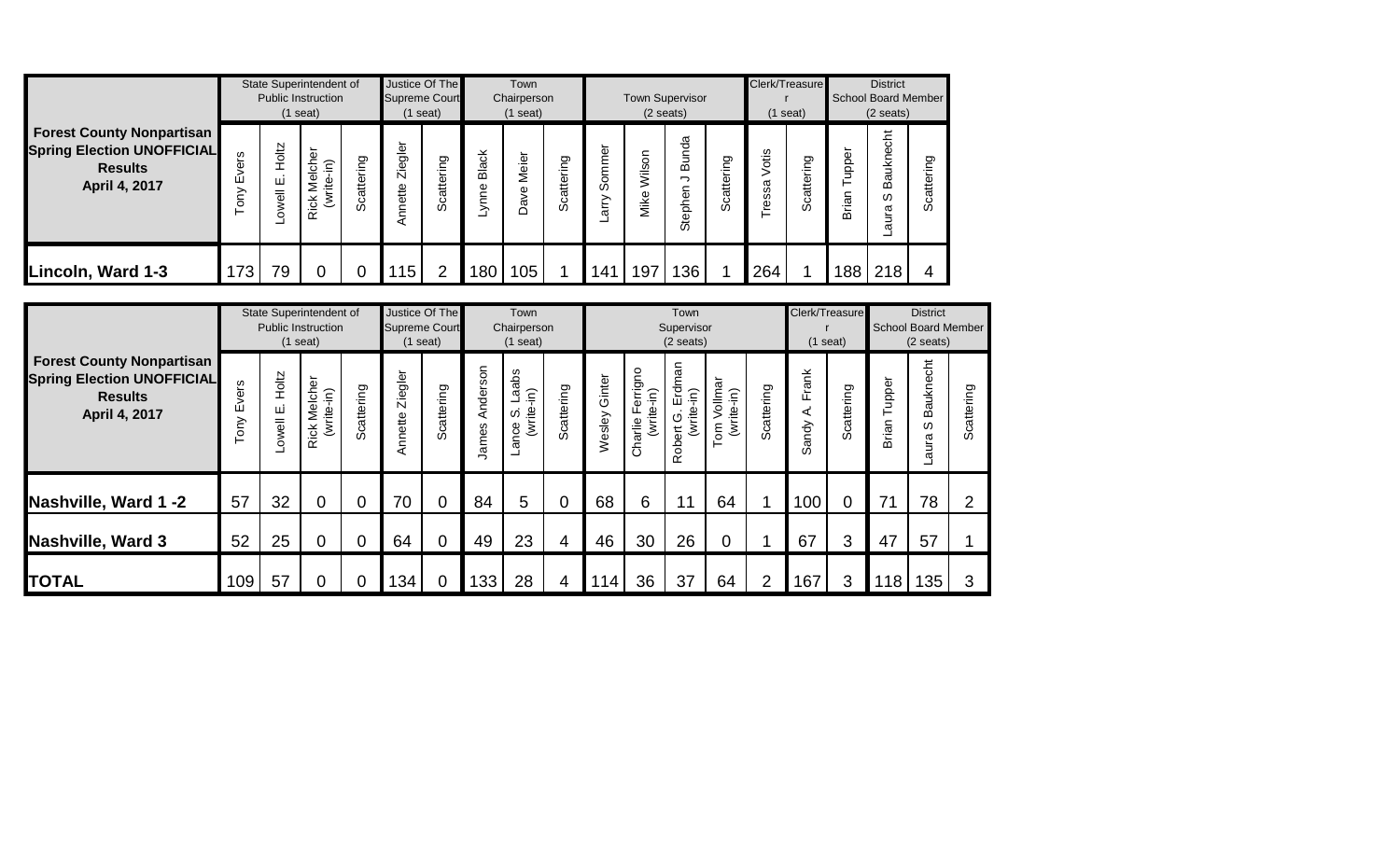|                                                                                                          |                    |                    | State Superintendent of<br><b>Public Instruction</b><br>$(1$ seat)                  |                        | Supreme Court<br>$(1$ seat) | Justice Of The         |               | Town<br>Chairperson<br>$(1$ seat) |                 |                               |                | <b>Town Supervisor</b><br>$(2 \text{ seats})$ |            |                  | Clerk/Treasure<br>(1 seat) |                     | <b>District</b><br><b>School Board Member</b><br>$(2 \text{ seats})$ |                              |
|----------------------------------------------------------------------------------------------------------|--------------------|--------------------|-------------------------------------------------------------------------------------|------------------------|-----------------------------|------------------------|---------------|-----------------------------------|-----------------|-------------------------------|----------------|-----------------------------------------------|------------|------------------|----------------------------|---------------------|----------------------------------------------------------------------|------------------------------|
| <b>Forest County Nonpartisan</b><br><b>Spring Election UNOFFICIAL</b><br><b>Results</b><br>April 4, 2017 | ၑၟ<br>δ<br>ய்<br>ξ | Holtz<br>ш<br>well | $\overline{\phantom{0}}$<br>Melche<br>$\widehat{\epsilon}$<br>write-<br><b>Rick</b> | ring<br>atte<br>ٽ<br>Ō | Ziegler<br>Annette          | ring<br>atte<br>ပ<br>Ō | Black<br>ynne | ┶<br>Meie<br>Dave                 | ring<br>Scatter | ৳<br>ε<br>ξ<br>S.<br>⋋<br>arr | Wilson<br>Mike | unda<br>മ<br>っ<br>Stephen                     | Scattering | otis<br>ssa<br>ق | ring<br>Scatter            | upper<br>⊢<br>Brian | Bauknecht<br>ω<br>aura<br>ᆜ                                          | ing<br>atte<br>ပ<br>$\omega$ |
| Lincoln, Ward 1-3                                                                                        | 173                | 79                 | 0                                                                                   |                        | 115                         |                        | 8C            | 105                               |                 | 141                           | 197            | 136                                           |            | 264              |                            | 188                 | 218                                                                  |                              |

|                                                                                                          |                |                                                                 | State Superintendent of<br><b>Public Instruction</b><br>$(1$ seat) |                    | <b>Supreme Court</b> | Justice Of The<br>(1 seat) |                                     | Town<br>Chairperson<br>$(1$ seat) |                  |                                        |                                                   | Town<br>Supervisor<br>$(2 \text{ seats})$      |            |                                    |            | Clerk/Treasure<br>$(1$ seat) |                                    | <b>District</b><br>School Board Member<br>$(2 \text{ seats})$ |                |
|----------------------------------------------------------------------------------------------------------|----------------|-----------------------------------------------------------------|--------------------------------------------------------------------|--------------------|----------------------|----------------------------|-------------------------------------|-----------------------------------|------------------|----------------------------------------|---------------------------------------------------|------------------------------------------------|------------|------------------------------------|------------|------------------------------|------------------------------------|---------------------------------------------------------------|----------------|
| <b>Forest County Nonpartisan</b><br><b>Spring Election UNOFFICIAL</b><br><b>Results</b><br>April 4, 2017 | ers<br>ш<br>δm | Holtz<br>Rick Melcher<br>Scattering<br>(write-in)<br>Щ<br>owell |                                                                    | Ziegler<br>Annette | Scattering           | Anderson<br>lames          | abs<br>(write-in)<br>π<br>S<br>ance | Scattering                        | Ginter<br>Wesley | errigno<br>(write-in)<br>Lī<br>Charlie | Erdman<br>$\widehat{=}$<br>Robert G. I<br>(write- | Vollmar<br>(write-in)<br>$\overline{\epsilon}$ | Scattering | Frank<br>$\sim$<br>⋖<br>andy<br>σõ | Scattering | upper<br>⊢<br>Brian          | <b>Bauknecht</b><br>w<br>gun<br>ᡕᢐ | Scattering                                                    |                |
| Nashville, Ward 1 -2                                                                                     | 57             | 32                                                              | $\Omega$                                                           | $\overline{0}$     | 70                   | $\overline{0}$             | 84                                  | 5                                 | 0                | 68                                     | 6                                                 | 11                                             | 64         |                                    | 100        | $\overline{0}$               | 71                                 | 78                                                            | $\overline{2}$ |
| Nashville, Ward 3                                                                                        | 52             | 25                                                              | 0                                                                  | $\overline{0}$     | 64                   | $\overline{0}$             | 49                                  | 23                                | $\overline{4}$   | 46                                     | 30                                                | 26                                             | 0          |                                    | 67         | 3                            | 47                                 | 57                                                            |                |
| <b>TOTAL</b>                                                                                             | 109            | 57                                                              |                                                                    | 0                  | 134                  | 0                          | 133                                 | 28                                | 4                | 14                                     | 36                                                | 37                                             | 64         | $\overline{2}$                     | 167        | 3                            | 18                                 | 135                                                           | 3              |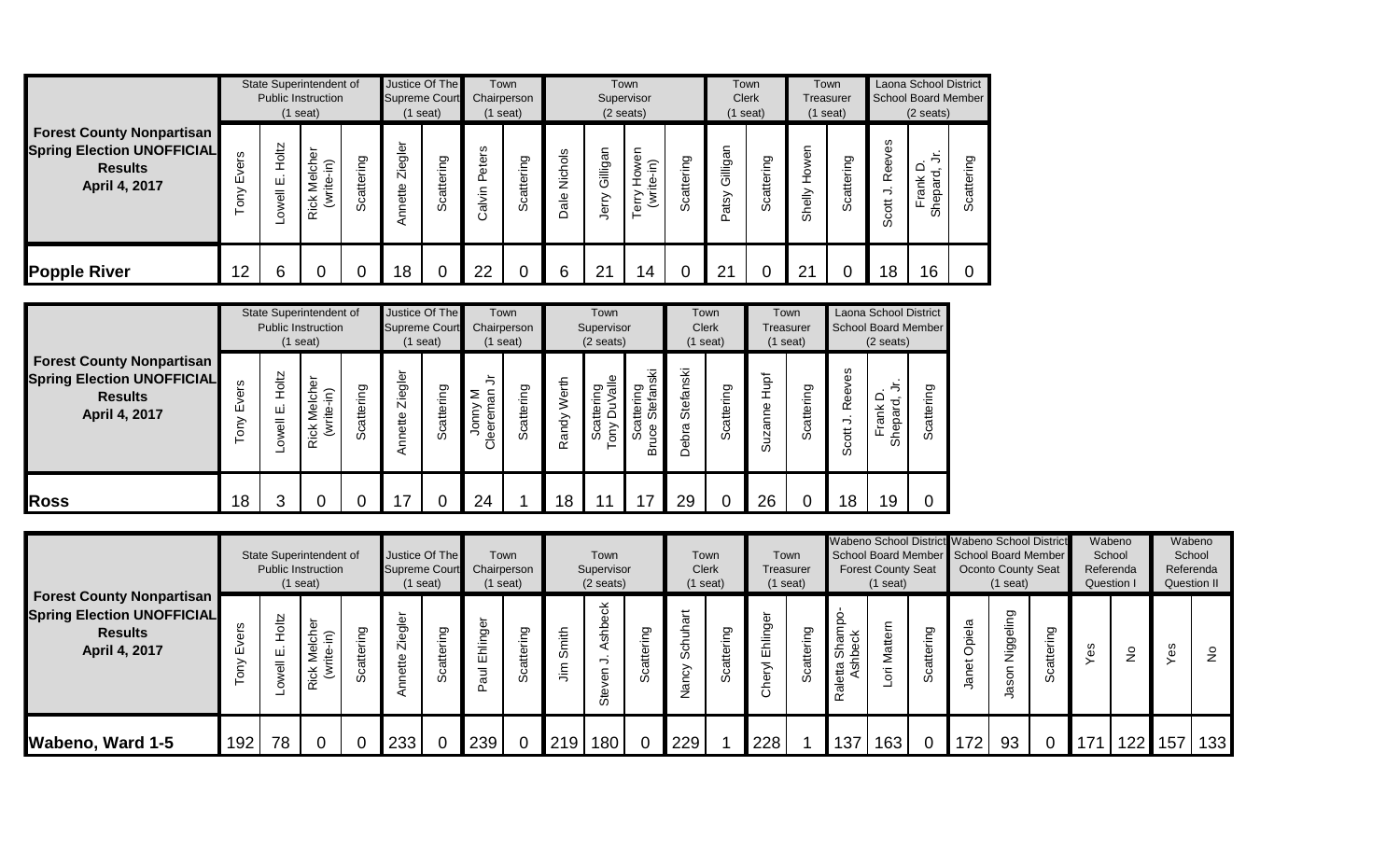|                                                                                                          |                     |                    | State Superintendent of<br><b>Public Instruction</b><br>$(1$ seat) |                |                                | Justice Of The<br><b>Supreme Court</b><br>$(1$ seat) |                          | Town<br>Chairperson<br>$(1$ seat) |                               |                                                            | Town<br>Supervisor<br>$(2$ seats)                  |                        |                      | Town<br><b>Clerk</b><br>$(1$ seat)                      |                       | Town<br>Treasurer<br>$(1$ seat) |                                  | Laona School District<br>School Board Member<br>$(2 \text{ seats})$ |                                        |
|----------------------------------------------------------------------------------------------------------|---------------------|--------------------|--------------------------------------------------------------------|----------------|--------------------------------|------------------------------------------------------|--------------------------|-----------------------------------|-------------------------------|------------------------------------------------------------|----------------------------------------------------|------------------------|----------------------|---------------------------------------------------------|-----------------------|---------------------------------|----------------------------------|---------------------------------------------------------------------|----------------------------------------|
| <b>Forest County Nonpartisan</b><br><b>Spring Election UNOFFICIAL</b><br><b>Results</b><br>April 4, 2017 | ဖၟ<br>Φ<br>ш<br>δIJ | Holtz<br>ш<br>well | Melcher<br>$\widehat{\epsilon}$<br>e<br>Ti<br>₹<br><b>Rick</b>     | cattering<br>ഗ | φ<br>ē9<br>Ñ<br>ette<br>≘<br>◅ | ring<br>catte<br>ഗ                                   | w<br>eter<br>௳<br>Calvin | ring<br>Scatter                   | Nichols<br>$\frac{e}{a}$<br>c | Gilligar<br>≧<br>$\overline{\phantom{0}}$<br>$\frac{1}{2}$ | wen<br>$\widehat{\epsilon}$<br>은<br>E<br>erry<br>⊢ | ring<br>atte<br>ပ<br>ഗ | illigan<br>৩<br>atsy | ഊ<br>٠Ĕ<br>$\mathfrak{g}_{\mathfrak{t}}$<br>ā<br>ပ<br>ഗ | ၉<br>Й<br>Р<br>Shelly | ring<br>Scatter                 | /es<br>Ф<br>Ф<br>œ<br>っ<br>Scott | $\overline{\phantom{0}}$<br>≏<br>ರ<br>⊻<br>Shepar<br>-              | ත<br>≟.<br>∼<br>$\mathbf{e}$<br>ပ<br>w |
| <b>Popple River</b>                                                                                      | 12                  | 6                  |                                                                    | 0              | 18                             |                                                      | 22                       | 0                                 | 6                             | 21                                                         | 4                                                  |                        | 21                   |                                                         | 21                    |                                 | 18                               | 16                                                                  |                                        |

| <b>Forest County Nonpartisan</b><br><b>Spring Election UNOFFICIAL</b><br><b>Results</b><br>April 4, 2017 |                |                     | State Superintendent of<br><b>Public Instruction</b><br>$(1$ seat)                           |            | Justice Of The<br><b>Supreme Court</b><br>$(1$ seat) |            | Town<br>Chairperson<br>$(1$ seat) |            | Town<br>Supervisor<br>$(2 \text{ seats})$ |                                              |                                                     | Town<br><b>Clerk</b><br>$(1$ seat) |                | Town<br>Treasurer<br>$(1$ seat) |            | Laona School District<br>School Board Member<br>$(2 \text{ seats})$ |                                  |            |
|----------------------------------------------------------------------------------------------------------|----------------|---------------------|----------------------------------------------------------------------------------------------|------------|------------------------------------------------------|------------|-----------------------------------|------------|-------------------------------------------|----------------------------------------------|-----------------------------------------------------|------------------------------------|----------------|---------------------------------|------------|---------------------------------------------------------------------|----------------------------------|------------|
|                                                                                                          | ers<br>Ш<br>čω | Holtz<br>Ш<br>owell | ৯<br>elch<br>$\widehat{\epsilon}$<br>ف<br>Ti<br>$\overline{\phantom{0}}$<br>⋍<br>ě<br>ξ<br>œ | Scattering | Ziegler<br>Annette                                   | Scattering | ≒<br>Jonny M                      | Scattering | Werth<br>Randy                            | $\frac{e}{a}$<br>Scattering<br>Š<br>σny<br>⊢ | ΚÄ<br>δu<br><b>Stefans</b><br>atteri<br>Φ<br>ഗ<br>∞ | Stefanski<br>ebra<br>Õ             | Scattering     | Нuрf<br>Н<br>uzanne<br>ഗ        | Scattering | Reeves<br>っ<br>Scott                                                | 늑<br>≏<br>Frank<br>σ<br>မှု<br>あ | Scattering |
| <b>Ross</b>                                                                                              | 18             | 3                   |                                                                                              |            | $\overline{7}$                                       |            | 24                                |            | 18                                        | . 1                                          | ⇁                                                   | 29                                 | $\overline{0}$ | 26                              |            | 18                                                                  | 19                               | 0          |

| <b>Forest County Nonpartisan</b><br><b>Spring Election UNOFFICIAL</b><br><b>Results</b><br>April 4, 2017 | State Superintendent of<br><b>Public Instruction</b><br>$(1$ seat) |                            |                                           |                    | Justice Of The<br>Town<br>Chairperson<br><b>Supreme Court</b><br>$(1$ seat)<br>$(1$ seat) |                              |                                          | Town<br>Supervisor<br>$(2 \text{ seats})$ |              | Town<br><b>Clerk</b><br>$(1$ seat) |                | Town<br>Treasurer<br>$(1$ seat) |            | Wabeno School District Wabeno School District<br><b>Forest County Seat</b><br>$(1$ seat) |            |                                                   | School Board Member School Board Member<br><b>Oconto County Seat</b><br>$(1$ seat) |            |             | Wabeno<br>School<br>Referenda<br><b>Question I</b> |                | Wabeno<br>School<br>Referenda<br>Question II |                  |         |               |
|----------------------------------------------------------------------------------------------------------|--------------------------------------------------------------------|----------------------------|-------------------------------------------|--------------------|-------------------------------------------------------------------------------------------|------------------------------|------------------------------------------|-------------------------------------------|--------------|------------------------------------|----------------|---------------------------------|------------|------------------------------------------------------------------------------------------|------------|---------------------------------------------------|------------------------------------------------------------------------------------|------------|-------------|----------------------------------------------------|----------------|----------------------------------------------|------------------|---------|---------------|
|                                                                                                          | ш                                                                  | $\mathbf N$<br>븅<br>Ш<br>C | ত<br>F<br>Melch<br>Φ<br>÷.<br><b>Rick</b> | ත<br>₽<br>$\omega$ | gler<br>Zie<br>hette                                                                      | င္ငွာ<br>٠È<br>atter<br>ပ္ပိ | க<br>Ehlin<br>$\overline{a}$<br>$\Delta$ | င္ငွာ<br>.≒<br>atte<br>ن<br>%             | 信<br>òδ<br>高 | も<br>CD<br>Ste                     | Scattering     | ੇ<br>$\bar{z}$                  | Scattering | ō<br>툳<br>ш<br>Σ                                                                         | Scattering | $\sigma$<br>န်<br>- 2<br>etta<br>Ast<br><u>ನಿ</u> | Matter<br>ΈŌ                                                                       | Scattering | Opiela<br>ā | Ō<br>viggelir                                      | attering<br>တိ |                                              | $\frac{1}{2}$    | U.<br>Φ | $\frac{1}{2}$ |
| Wabeno, Ward 1-5                                                                                         | 192 <sub>1</sub>                                                   | 78                         | 0                                         |                    | 233                                                                                       |                              | 239                                      |                                           | 219          | 180 <sub>1</sub>                   | $\overline{0}$ | 229                             |            | 228                                                                                      |            | 137                                               | 163                                                                                |            | 72          | 93                                                 | 0              | 171                                          | 122 <sub>l</sub> | 157     | 133           |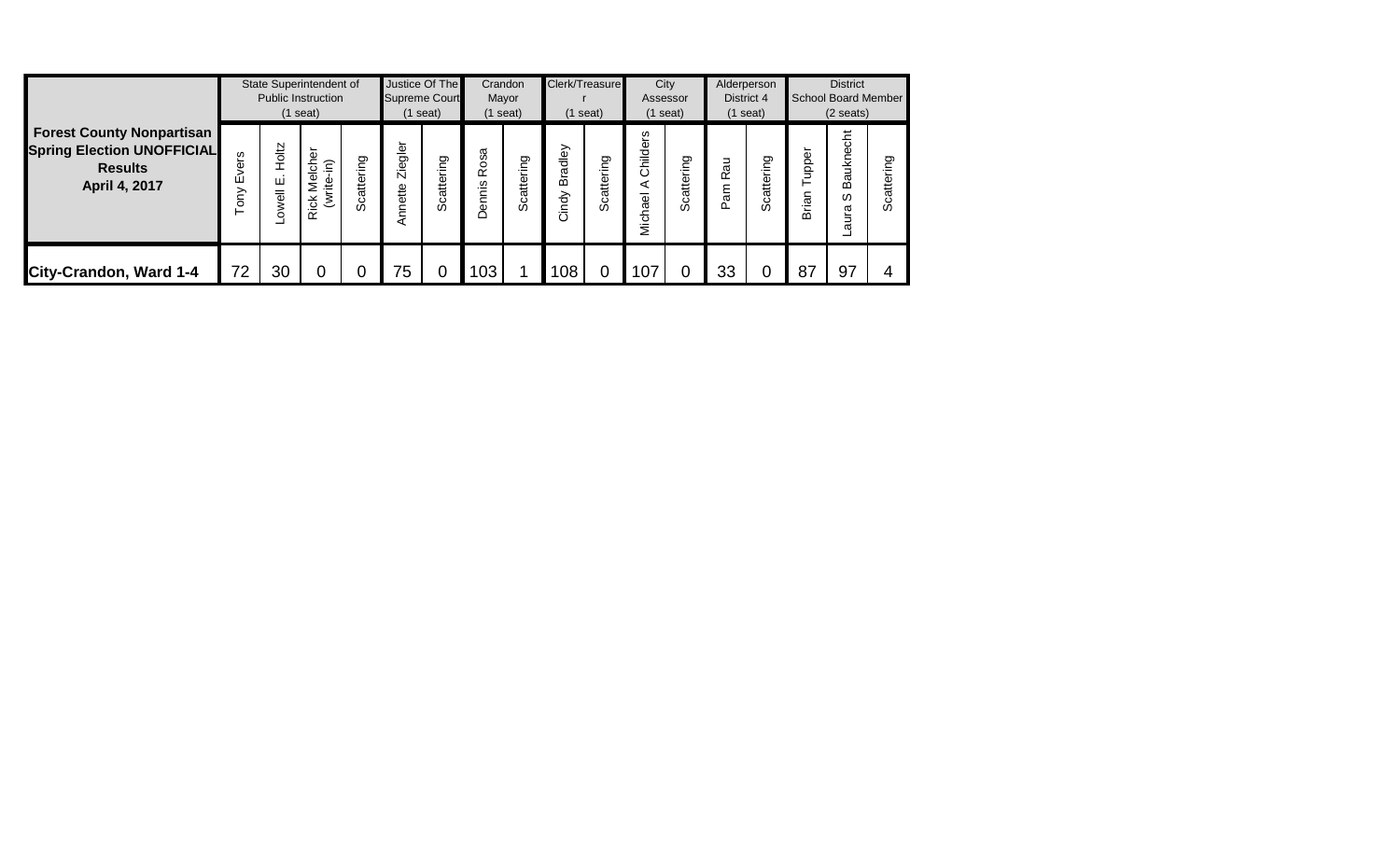| <b>Forest County Nonpartisan</b><br><b>Spring Election UNOFFICIAL</b><br><b>Results</b><br>April 4, 2017 |               |                     | State Superintendent of<br><b>Public Instruction</b><br>$(1$ seat) |                 | Justice Of The<br><b>Supreme Court</b><br>l seat) |            |                        | Crandon<br>Mayor<br>$(1$ seat) |                              | Clerk/Treasure<br>$(1$ seat)       |                          | City<br>Assessor<br>$(1$ seat) |                | Alderperson<br>District 4<br>$(1$ seat)                            |                    | <b>District</b><br><b>School Board Member</b><br>$(2 \text{ seats})$ |                       |  |
|----------------------------------------------------------------------------------------------------------|---------------|---------------------|--------------------------------------------------------------------|-----------------|---------------------------------------------------|------------|------------------------|--------------------------------|------------------------------|------------------------------------|--------------------------|--------------------------------|----------------|--------------------------------------------------------------------|--------------------|----------------------------------------------------------------------|-----------------------|--|
|                                                                                                          | Evers<br>Tony | Holtz<br>ш<br>owell | elche<br>ίsι.<br>(write-<br>Ź<br><b>Rick</b>                       | ring<br>Scatter | Ziegler<br>Annette                                | Scattering | 8S<br>0<br>≃<br>Dennis | ring<br>Scatter                | dley<br>ē.<br>Bi<br>ਠੋ<br>άĞ | ring<br>$t^{\rm e}$<br>σ<br>ပ<br>ഗ | Childers<br>⋖<br>Michael | ring<br>catter<br>ഗ            | Rau<br>Ψe<br>Δ | ring<br>$\mathfrak{g}_{\mathfrak{t}}$<br>$\sigma$<br>ٽ<br>$\omega$ | upper<br>rian<br>മ | Bauknecht<br>ഗ<br>aura                                               | ත<br>$t^{\rm e}$<br>ഗ |  |
| City-Crandon, Ward 1-4                                                                                   | 72            | 30                  |                                                                    |                 | 75                                                |            | 103                    |                                | 108                          |                                    | 107                      |                                | 33             |                                                                    | 87                 | 97                                                                   |                       |  |